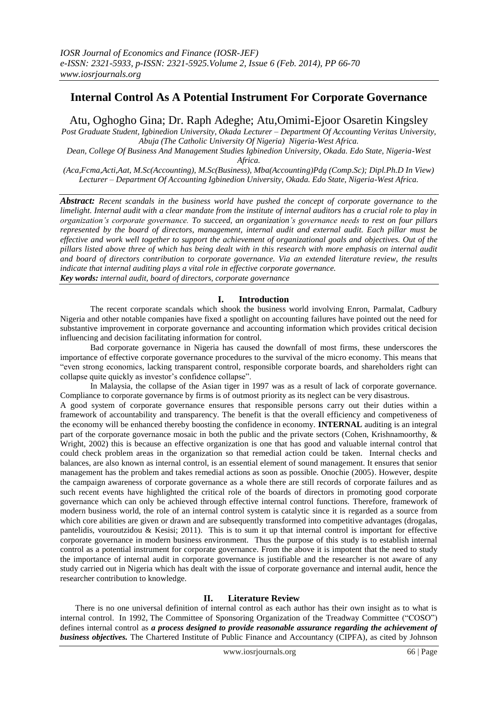# **Internal Control As A Potential Instrument For Corporate Governance**

Atu, Oghogho Gina; Dr. Raph Adeghe; Atu,Omimi-Ejoor Osaretin Kingsley

*Post Graduate Student, Igbinedion University, Okada Lecturer – Department Of Accounting Veritas University, Abuja (The Catholic University Of Nigeria) Nigeria-West Africa.*

*Dean, College Of Business And Management Studies Igbinedion University, Okada. Edo State, Nigeria-West Africa.*

*(Aca,Fcma,Acti,Aat, M.Sc(Accounting), M.Sc(Business), Mba(Accounting)Pdg (Comp.Sc); Dipl.Ph.D In View) Lecturer – Department Of Accounting Igbinedion University, Okada. Edo State, Nigeria-West Africa.*

*Abstract: Recent scandals in the business world have pushed the concept of corporate governance to the limelight. Internal audit with a clear mandate from the institute of internal auditors has a crucial role to play in organization's corporate governance. To succeed, an organization's governance needs to rest on four pillars represented by the board of directors, management, internal audit and external audit. Each pillar must be effective and work well together to support the achievement of organizational goals and objectives. Out of the pillars listed above three of which has being dealt with in this research with more emphasis on internal audit and board of directors contribution to corporate governance. Via an extended literature review, the results indicate that internal auditing plays a vital role in effective corporate governance. Key words: internal audit, board of directors, corporate governance*

**I. Introduction**

The recent corporate scandals which shook the business world involving Enron, Parmalat, Cadbury Nigeria and other notable companies have fixed a spotlight on accounting failures have pointed out the need for substantive improvement in corporate governance and accounting information which provides critical decision influencing and decision facilitating information for control.

Bad corporate governance in Nigeria has caused the downfall of most firms, these underscores the importance of effective corporate governance procedures to the survival of the micro economy. This means that "even strong economics, lacking transparent control, responsible corporate boards, and shareholders right can collapse quite quickly as investor's confidence collapse".

In Malaysia, the collapse of the Asian tiger in 1997 was as a result of lack of corporate governance. Compliance to corporate governance by firms is of outmost priority as its neglect can be very disastrous.

A good system of corporate governance ensures that responsible persons carry out their duties within a framework of accountability and transparency. The benefit is that the overall efficiency and competiveness of the economy will be enhanced thereby boosting the confidence in economy. **INTERNAL** auditing is an integral part of the corporate governance mosaic in both the public and the private sectors (Cohen, Krishnamoorthy, & Wright, 2002) this is because an effective organization is one that has good and valuable internal control that could check problem areas in the organization so that remedial action could be taken. Internal checks and balances, are also known as internal control, is an essential element of sound management. It ensures that senior management has the problem and takes remedial actions as soon as possible. Onochie (2005). However, despite the campaign awareness of corporate governance as a whole there are still records of corporate failures and as such recent events have highlighted the critical role of the boards of directors in promoting good corporate governance which can only be achieved through effective internal control functions. Therefore, framework of modern business world, the role of an internal control system is catalytic since it is regarded as a source from which core abilities are given or drawn and are subsequently transformed into competitive advantages (drogalas, pantelidis, vouroutzidou & Kesisi; 2011). This is to sum it up that internal control is important for effective corporate governance in modern business environment. Thus the purpose of this study is to establish internal control as a potential instrument for corporate governance. From the above it is impotent that the need to study the importance of internal audit in corporate governance is justifiable and the researcher is not aware of any study carried out in Nigeria which has dealt with the issue of corporate governance and internal audit, hence the researcher contribution to knowledge.

# **II. Literature Review**

There is no one universal definition of internal control as each author has their own insight as to what is internal control. In 1992, The Committee of Sponsoring Organization of the Treadway Committee ("COSO") defines internal control as *a process designed to provide reasonable assurance regarding the achievement of business objectives.* The Chartered Institute of Public Finance and Accountancy (CIPFA), as cited by Johnson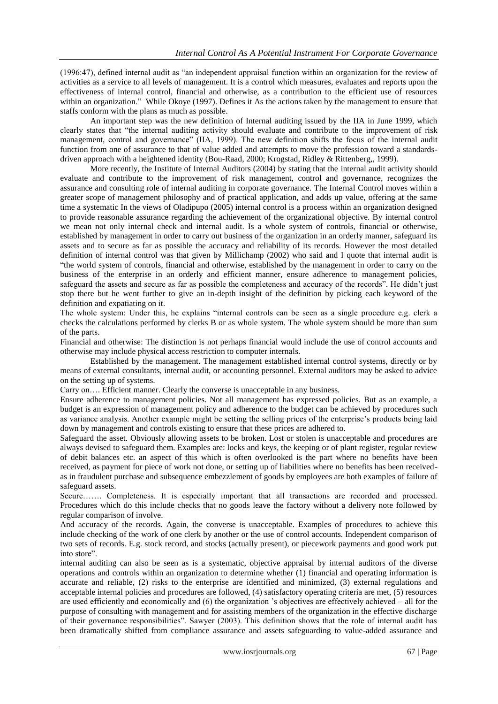(1996:47), defined internal audit as "an independent appraisal function within an organization for the review of activities as a service to all levels of management. It is a control which measures, evaluates and reports upon the effectiveness of internal control, financial and otherwise, as a contribution to the efficient use of resources within an organization." While Okoye (1997). Defines it As the actions taken by the management to ensure that staffs conform with the plans as much as possible.

An important step was the new definition of Internal auditing issued by the IIA in June 1999, which clearly states that "the internal auditing activity should evaluate and contribute to the improvement of risk management, control and governance" (IIA, 1999). The new definition shifts the focus of the internal audit function from one of assurance to that of value added and attempts to move the profession toward a standardsdriven approach with a heightened identity (Bou-Raad, 2000; Krogstad, Ridley & Rittenberg,, 1999).

More recently, the Institute of Internal Auditors (2004) by stating that the internal audit activity should evaluate and contribute to the improvement of risk management, control and governance, recognizes the assurance and consulting role of internal auditing in corporate governance. The Internal Control moves within a greater scope of management philosophy and of practical application, and adds up value, offering at the same time a systematic In the views of Oladipupo (2005) internal control is a process within an organization designed to provide reasonable assurance regarding the achievement of the organizational objective. By internal control we mean not only internal check and internal audit. Is a whole system of controls, financial or otherwise, established by management in order to carry out business of the organization in an orderly manner, safeguard its assets and to secure as far as possible the accuracy and reliability of its records. However the most detailed definition of internal control was that given by Millichamp (2002) who said and I quote that internal audit is "the world system of controls, financial and otherwise, established by the management in order to carry on the business of the enterprise in an orderly and efficient manner, ensure adherence to management policies, safeguard the assets and secure as far as possible the completeness and accuracy of the records". He didn't just stop there but he went further to give an in-depth insight of the definition by picking each keyword of the definition and expatiating on it.

The whole system: Under this, he explains "internal controls can be seen as a single procedure e.g. clerk a checks the calculations performed by clerks B or as whole system. The whole system should be more than sum of the parts.

Financial and otherwise: The distinction is not perhaps financial would include the use of control accounts and otherwise may include physical access restriction to computer internals.

Established by the management. The management established internal control systems, directly or by means of external consultants, internal audit, or accounting personnel. External auditors may be asked to advice on the setting up of systems.

Carry on…. Efficient manner. Clearly the converse is unacceptable in any business.

Ensure adherence to management policies. Not all management has expressed policies. But as an example, a budget is an expression of management policy and adherence to the budget can be achieved by procedures such as variance analysis. Another example might be setting the selling prices of the enterprise's products being laid down by management and controls existing to ensure that these prices are adhered to.

Safeguard the asset. Obviously allowing assets to be broken. Lost or stolen is unacceptable and procedures are always devised to safeguard them. Examples are: locks and keys, the keeping or of plant register, regular review of debit balances etc. an aspect of this which is often overlooked is the part where no benefits have been received, as payment for piece of work not done, or setting up of liabilities where no benefits has been receivedas in fraudulent purchase and subsequence embezzlement of goods by employees are both examples of failure of safeguard assets.

Secure……. Completeness. It is especially important that all transactions are recorded and processed. Procedures which do this include checks that no goods leave the factory without a delivery note followed by regular comparison of involve.

And accuracy of the records. Again, the converse is unacceptable. Examples of procedures to achieve this include checking of the work of one clerk by another or the use of control accounts. Independent comparison of two sets of records. E.g. stock record, and stocks (actually present), or piecework payments and good work put into store".

internal auditing can also be seen as is a systematic, objective appraisal by internal auditors of the diverse operations and controls within an organization to determine whether (1) financial and operating information is accurate and reliable, (2) risks to the enterprise are identified and minimized, (3) external regulations and acceptable internal policies and procedures are followed, (4) satisfactory operating criteria are met, (5) resources are used efficiently and economically and (6) the organization 's objectives are effectively achieved – all for the purpose of consulting with management and for assisting members of the organization in the effective discharge of their governance responsibilities". Sawyer (2003). This definition shows that the role of internal audit has been dramatically shifted from compliance assurance and assets safeguarding to value-added assurance and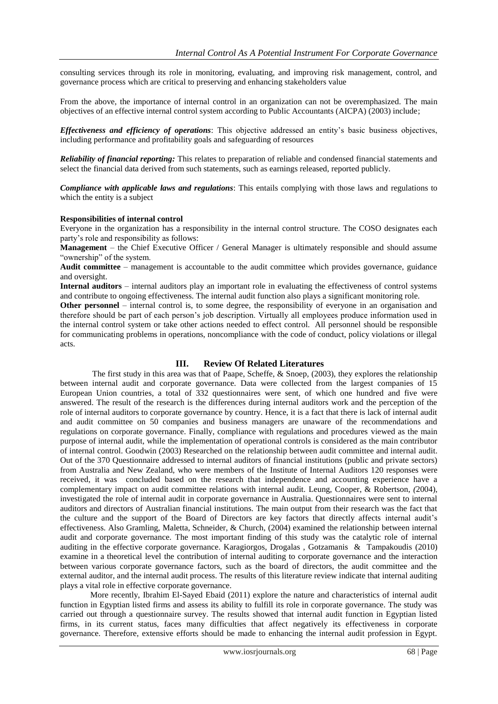consulting services through its role in monitoring, evaluating, and improving risk management, control, and governance process which are critical to preserving and enhancing stakeholders value

From the above, the importance of internal control in an organization can not be overemphasized. The main objectives of an effective internal control system according to Public Accountants (AICPA) (2003) include;

*Effectiveness and efficiency of operations*: This objective addressed an entity's basic business objectives, including performance and profitability goals and safeguarding of resources

*Reliability of financial reporting:* This relates to preparation of reliable and condensed financial statements and select the financial data derived from such statements, such as earnings released, reported publicly.

*Compliance with applicable laws and regulations*: This entails complying with those laws and regulations to which the entity is a subject

#### **Responsibilities of internal control**

Everyone in the organization has a responsibility in the internal control structure. The COSO designates each party's role and responsibility as follows:

**Management** – the Chief Executive Officer / General Manager is ultimately responsible and should assume "ownership" of the system.

**Audit committee** – management is accountable to the audit committee which provides governance, guidance and oversight.

**Internal auditors** – internal auditors play an important role in evaluating the effectiveness of control systems and contribute to ongoing effectiveness. The internal audit function also plays a significant monitoring role.

**Other personnel** – internal control is, to some degree, the responsibility of everyone in an organisation and therefore should be part of each person's job description. Virtually all employees produce information used in the internal control system or take other actions needed to effect control. All personnel should be responsible for communicating problems in operations, noncompliance with the code of conduct, policy violations or illegal acts.

#### **III. Review Of Related Literatures**

The first study in this area was that of Paape, Scheffe, & Snoep, (2003), they explores the relationship between internal audit and corporate governance. Data were collected from the largest companies of 15 European Union countries, a total of 332 questionnaires were sent, of which one hundred and five were answered. The result of the research is the differences during internal auditors work and the perception of the role of internal auditors to corporate governance by country. Hence, it is a fact that there is lack of internal audit and audit committee on 50 companies and business managers are unaware of the recommendations and regulations on corporate governance. Finally, compliance with regulations and procedures viewed as the main purpose of internal audit, while the implementation of operational controls is considered as the main contributor of internal control. Goodwin (2003) Researched on the relationship between audit committee and internal audit. Out of the 370 Questionnaire addressed to internal auditors of financial institutions (public and private sectors) from Australia and New Zealand, who were members of the Institute of Internal Auditors 120 responses were received, it was concluded based on the research that independence and accounting experience have a complementary impact on audit committee relations with internal audit. Leung, Cooper, & Robertson, *(*2004), investigated the role of internal audit in corporate governance in Australia. Questionnaires were sent to internal auditors and directors of Australian financial institutions. The main output from their research was the fact that the culture and the support of the Board of Directors are key factors that directly affects internal audit's effectiveness. Also Gramling, Maletta, Schneider, & Church, (2004) examined the relationship between internal audit and corporate governance. The most important finding of this study was the catalytic role of internal auditing in the effective corporate governance. Karagiorgos, Drogalas , Gotzamanis & Tampakoudis (2010) examine in a theoretical level the contribution of internal auditing to corporate governance and the interaction between various corporate governance factors, such as the board of directors, the audit committee and the external auditor, and the internal audit process. The results of this literature review indicate that internal auditing plays a vital role in effective corporate governance.

More recently, Ibrahim El-Sayed Ebaid (2011) explore the nature and characteristics of internal audit function in Egyptian listed firms and assess its ability to fulfill its role in corporate governance. The study was carried out through a questionnaire survey. The results showed that internal audit function in Egyptian listed firms, in its current status, faces many difficulties that affect negatively its effectiveness in corporate governance. Therefore, extensive efforts should be made to enhancing the internal audit profession in Egypt.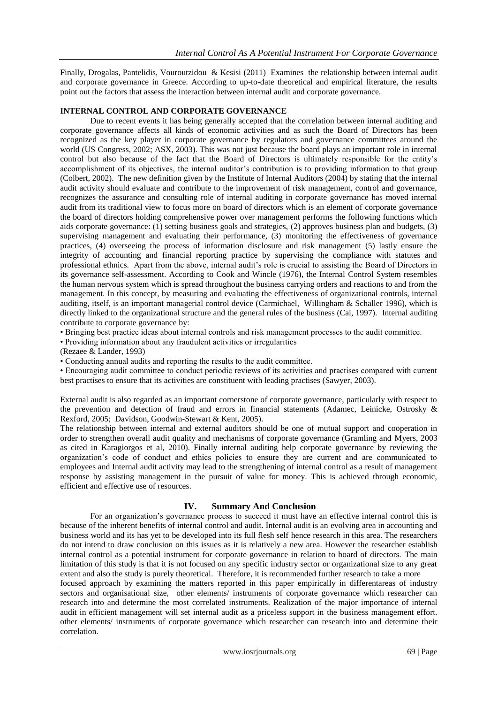Finally, Drogalas, Pantelidis, Vouroutzidou & Kesisi (2011) Examines the relationship between internal audit and corporate governance in Greece. According to up-to-date theoretical and empirical literature, the results point out the factors that assess the interaction between internal audit and corporate governance.

### **INTERNAL CONTROL AND CORPORATE GOVERNANCE**

Due to recent events it has being generally accepted that the correlation between internal auditing and corporate governance affects all kinds of economic activities and as such the Board of Directors has been recognized as the key player in corporate governance by regulators and governance committees around the world (US Congress, 2002; ASX, 2003). This was not just because the board plays an important role in internal control but also because of the fact that the Board of Directors is ultimately responsible for the entity's accomplishment of its objectives, the internal auditor's contribution is to providing information to that group (Colbert, 2002). The new definition given by the Institute of Internal Auditors (2004) by stating that the internal audit activity should evaluate and contribute to the improvement of risk management, control and governance, recognizes the assurance and consulting role of internal auditing in corporate governance has moved internal audit from its traditional view to focus more on board of directors which is an element of corporate governance the board of directors holding comprehensive power over management performs the following functions which aids corporate governance: (1) setting business goals and strategies, (2) approves business plan and budgets, (3) supervising management and evaluating their performance, (3) monitoring the effectiveness of governance practices, (4) overseeing the process of information disclosure and risk management (5) lastly ensure the integrity of accounting and financial reporting practice by supervising the compliance with statutes and professional ethnics. Apart from the above, internal audit's role is crucial to assisting the Board of Directors in its governance self-assessment. According to Cook and Wincle (1976), the Internal Control System resembles the human nervous system which is spread throughout the business carrying orders and reactions to and from the management. In this concept, by measuring and evaluating the effectiveness of organizational controls, internal auditing, itself, is an important managerial control device (Carmichael, Willingham & Schaller 1996), which is directly linked to the organizational structure and the general rules of the business (Cai, 1997). Internal auditing contribute to corporate governance by:

• Bringing best practice ideas about internal controls and risk management processes to the audit committee.

• Providing information about any fraudulent activities or irregularities

(Rezaee & Lander, 1993)

• Conducting annual audits and reporting the results to the audit committee.

• Encouraging audit committee to conduct periodic reviews of its activities and practises compared with current best practises to ensure that its activities are constituent with leading practises (Sawyer, 2003).

External audit is also regarded as an important cornerstone of corporate governance, particularly with respect to the prevention and detection of fraud and errors in financial statements (Adamec, Leinicke, Ostrosky & Rexford, 2005; Davidson, Goodwin-Stewart & Kent, 2005).

The relationship between internal and external auditors should be one of mutual support and cooperation in order to strengthen overall audit quality and mechanisms of corporate governance (Gramling and Myers, 2003 as cited in Karagiorgos et al, 2010). Finally internal auditing help corporate governance by reviewing the organization's code of conduct and ethics policies to ensure they are current and are communicated to employees and Internal audit activity may lead to the strengthening of internal control as a result of management response by assisting management in the pursuit of value for money. This is achieved through economic, efficient and effective use of resources.

# **IV. Summary And Conclusion**

For an organization's governance process to succeed it must have an effective internal control this is because of the inherent benefits of internal control and audit. Internal audit is an evolving area in accounting and business world and its has yet to be developed into its full flesh self hence research in this area. The researchers do not intend to draw conclusion on this issues as it is relatively a new area. However the researcher establish internal control as a potential instrument for corporate governance in relation to board of directors. The main limitation of this study is that it is not focused on any specific industry sector or organizational size to any great extent and also the study is purely theoretical. Therefore, it is recommended further research to take a more

focused approach by examining the matters reported in this paper empirically in differentareas of industry sectors and organisational size, other elements/ instruments of corporate governance which researcher can research into and determine the most correlated instruments. Realization of the major importance of internal audit in efficient management will set internal audit as a priceless support in the business management effort. other elements/ instruments of corporate governance which researcher can research into and determine their correlation.